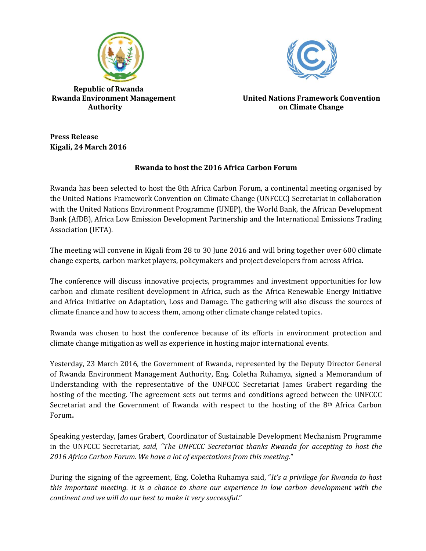

 **Republic of Rwanda**



**Rwanda Environment Management United Nations Framework Convention Authority on Climate Change**

**Press Release Kigali, 24 March 2016**

## **Rwanda to host the 2016 Africa Carbon Forum**

Rwanda has been selected to host the 8th Africa Carbon Forum, a continental meeting organised by the United Nations Framework Convention on Climate Change (UNFCCC) Secretariat in collaboration with the United Nations Environment Programme (UNEP), the World Bank, the African Development Bank (AfDB), Africa Low Emission Development Partnership and the International Emissions Trading Association (IETA).

The meeting will convene in Kigali from 28 to 30 June 2016 and will bring together over 600 climate change experts, carbon market players, policymakers and project developers from across Africa.

The conference will discuss innovative projects, programmes and investment opportunities for low carbon and climate resilient development in Africa, such as the Africa Renewable Energy Initiative and Africa Initiative on Adaptation, Loss and Damage. The gathering will also discuss the sources of climate finance and how to access them, among other climate change related topics.

Rwanda was chosen to host the conference because of its efforts in environment protection and climate change mitigation as well as experience in hosting major international events.

Yesterday, 23 March 2016, the Government of Rwanda, represented by the Deputy Director General of Rwanda Environment Management Authority, Eng. Coletha Ruhamya, signed a Memorandum of Understanding with the representative of the UNFCCC Secretariat James Grabert regarding the hosting of the meeting. The agreement sets out terms and conditions agreed between the UNFCCC Secretariat and the Government of Rwanda with respect to the hosting of the 8<sup>th</sup> Africa Carbon Forum**.**

Speaking yesterday, James Grabert, Coordinator of Sustainable Development Mechanism Programme in the UNFCCC Secretariat*, said, "The UNFCCC Secretariat thanks Rwanda for accepting to host the 2016 Africa Carbon Forum. We have a lot of expectations from this meeting.*"

During the signing of the agreement, Eng. Coletha Ruhamya said, "*It's a privilege for Rwanda to host this important meeting. It is a chance to share our experience in low carbon development with the continent and we will do our best to make it very successful*."